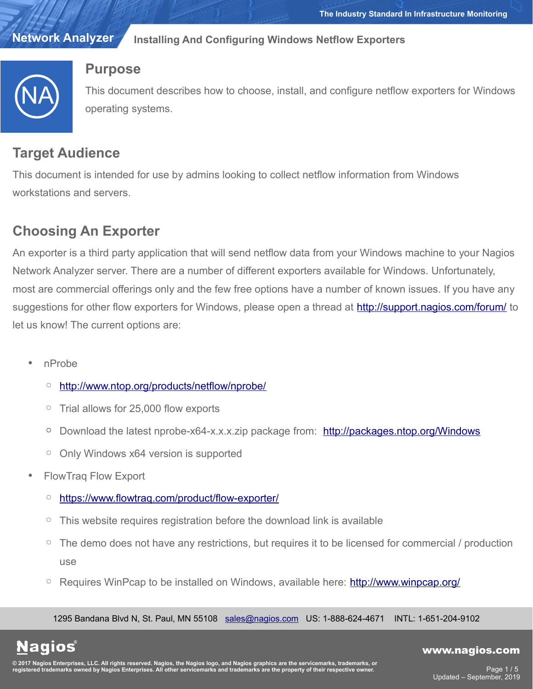#### **Network Analyzer Installing And Configuring Windows Netflow Exporters**



## **Purpose**

This document describes how to choose, install, and configure netflow exporters for Windows operating systems.

# **Target Audience**

This document is intended for use by admins looking to collect netflow information from Windows workstations and servers.

# **Choosing An Exporter**

An exporter is a third party application that will send netflow data from your Windows machine to your Nagios Network Analyzer server. There are a number of different exporters available for Windows. Unfortunately, most are commercial offerings only and the few free options have a number of known issues. If you have any suggestions for other flow exporters for Windows, please open a thread at<http://support.nagios.com/forum/>to let us know! The current options are:

- nProbe
	- <http://www.ntop.org/products/netflow/nprobe/>
	- Trial allows for 25,000 flow exports
	- Download the latest nprobe-x64-x.x.x.zip package from: <http://packages.ntop.org/Windows>
	- Only Windows x64 version is supported
- FlowTraq Flow Export
	- <https://www.flowtraq.com/product/flow-exporter/>
	- This website requires registration before the download link is available
	- The demo does not have any restrictions, but requires it to be licensed for commercial / production use
	- Requires WinPcap to be installed on Windows, available here:<http://www.winpcap.org/>

1295 Bandana Blvd N, St. Paul, MN 55108 [sales@nagios.com](mailto:sales@nagios.com) US: 1-888-624-4671 INTL: 1-651-204-9102

**Nagios®** 

### [www.nagios.com](https://www.nagios.com/)

© 2017 Nagios Enterprises, LLC. All rights reserved. Nagios, the Nagios logo, and Nagios graphics are the servicemarks, trademarks, or<br>registered trademarks owned by Nagios Enterprises. All other servicemarks and trademark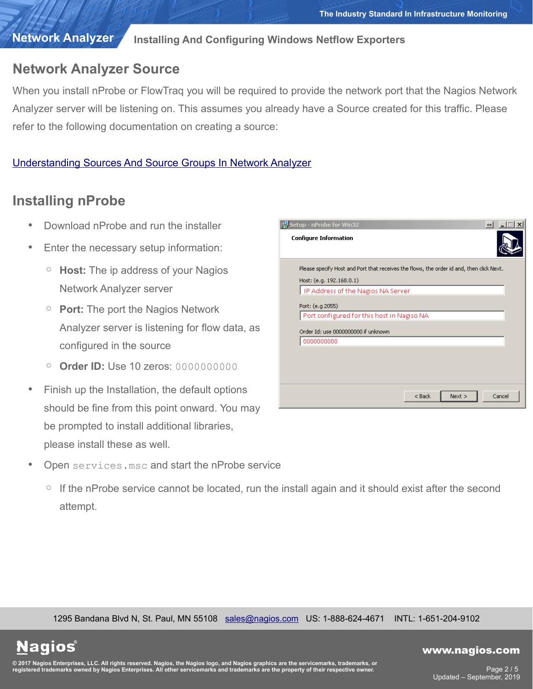## **Network Analyzer**

### **Installing And Configuring Windows Netflow Exporters**

# **Network Analyzer Source**

When you install nProbe or FlowTraq you will be required to provide the network port that the Nagios Network Analyzer server will be listening on. This assumes you already have a Source created for this traffic. Please refer to the following documentation on creating a source:

### [Understanding Sources And Source Groups In Network Analyzer](https://assets.nagios.com/downloads/nagios-network-analyzer/docs/Understanding_Sources_And_Sourcegroups_In_Network_Analyzer.pdf)

# **Installing nProbe**

- Download nProbe and run the installer
- Enter the necessary setup information:
	- **Host:** The ip address of your Nagios Network Analyzer server
	- **Port:** The port the Nagios Network Analyzer server is listening for flow data, as configured in the source
	- **Order ID:** Use 10 zeros: 0000000000
- Finish up the Installation, the default options should be fine from this point onward. You may be prompted to install additional libraries, please install these as well.
- Open services.msc and start the nProbe service
	- If the nProbe service cannot be located, run the install again and it should exist after the second attempt.

1- Setup - nProbe for Win3  $\leftrightarrow$   $\Box$ **Configure Information** Please specify Host and Port that receives the flows, the order id and, then click Next. Host: (e.g. 192.168.0.1) IP Address of the Nagios NA Server Port: (e.g 2055) Port configured for this host in Nagiso NA Order Id: use 0000000000 if unknown 0000000000  $<$  Back  $Next >$ Cancel

1295 Bandana Blvd N, St. Paul, MN 55108 [sales@nagios.com](mailto:sales@nagios.com) US: 1-888-624-4671 INTL: 1-651-204-9102

**Nagios**®

### [www.nagios.com](https://www.nagios.com/)

© 2017 Nagios Enterprises, LLC. All rights reserved. Nagios, the Nagios logo, and Nagios graphics are the servicemarks, trademarks, or<br>registered trademarks owned by Nagios Enterprises. All other servicemarks and trademark

Page 2 / 5 Updated – September, 2019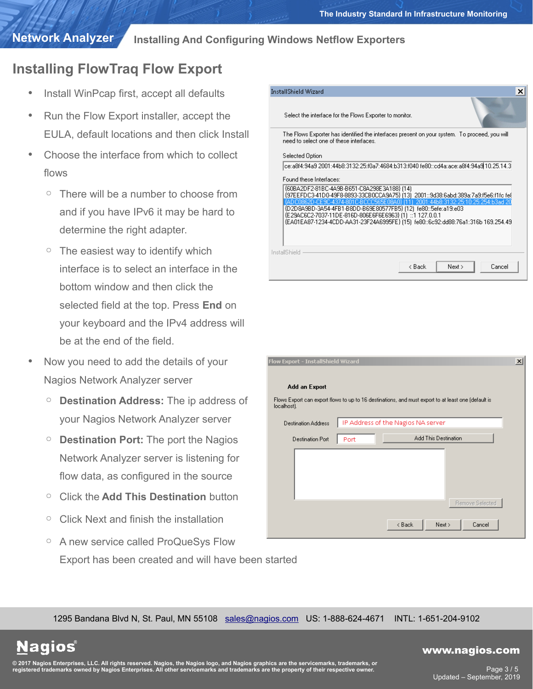#### **Network Analyzer Installing And Configuring Windows Netflow Exporters**

# **Installing FlowTraq Flow Export**

- Install WinPcap first, accept all defaults
- Run the Flow Export installer, accept the EULA, default locations and then click Install
- Choose the interface from which to collect flows
	- There will be a number to choose from and if you have IPv6 it may be hard to determine the right adapter.
	- $\circ$  The easiest way to identify which interface is to select an interface in the bottom window and then click the selected field at the top. Press **End** on your keyboard and the IPv4 address will be at the end of the field.
- Now you need to add the details of your Nagios Network Analyzer server
	- **Destination Address:** The ip address of your Nagios Network Analyzer server
	- **Destination Port:** The port the Nagios Network Analyzer server is listening for flow data, as configured in the source
	- Click the **Add This Destination** button
	- Click Next and finish the installation

**Nagios®** 

◦ A new service called ProQueSys Flow Export has been created and will have been started



| Flow Export - InstallShield Wizard |                                                                                                     | $\vert x \vert$ |
|------------------------------------|-----------------------------------------------------------------------------------------------------|-----------------|
| Add an Export                      |                                                                                                     |                 |
| localhost).                        | Flows Export can export flows to up to 16 destinations, and must export to at least one (default is |                 |
| <b>Destination Address</b>         | IP Address of the Nagios NA server                                                                  |                 |
| <b>Destination Port</b>            | Add This Destination<br>Port                                                                        |                 |
|                                    |                                                                                                     |                 |
|                                    |                                                                                                     |                 |
|                                    |                                                                                                     |                 |
|                                    | Remove Selected                                                                                     |                 |
|                                    | < Back<br>Next ><br>Cancel                                                                          |                 |

1295 Bandana Blvd N, St. Paul, MN 55108 [sales@nagios.com](mailto:sales@nagios.com) US: 1-888-624-4671 INTL: 1-651-204-9102

#### [www.nagios.com](https://www.nagios.com/)

© 2017 Nagios Enterprises, LLC. All rights reserved. Nagios, the Nagios logo, and Nagios graphics are the servicemarks, trademarks, or<br>registered trademarks owned by Nagios Enterprises. All other servicemarks and trademark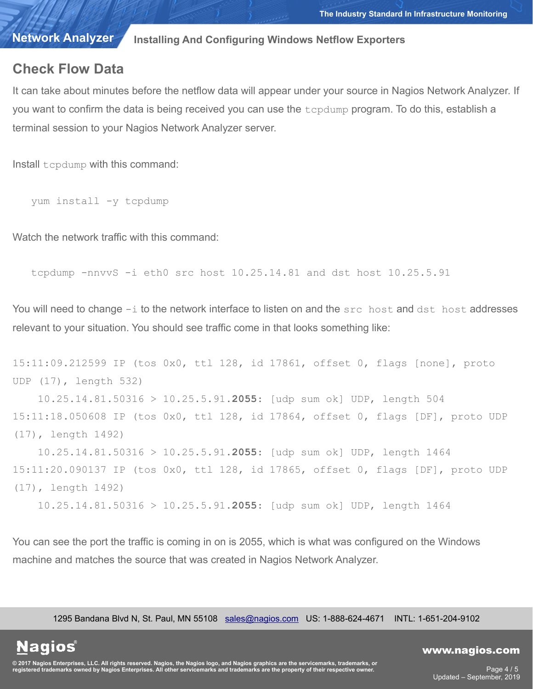### **Network Analyzer**

### **Installing And Configuring Windows Netflow Exporters**

## **Check Flow Data**

It can take about minutes before the netflow data will appear under your source in Nagios Network Analyzer. If you want to confirm the data is being received you can use the  $t$ cpdump program. To do this, establish a terminal session to your Nagios Network Analyzer server.

Install tcpdump with this command:

yum install -y tcpdump

Watch the network traffic with this command:

tcpdump -nnvvS -i eth0 src host 10.25.14.81 and dst host 10.25.5.91

You will need to change  $-i$  to the network interface to listen on and the  $src$  host and dst host addresses relevant to your situation. You should see traffic come in that looks something like:

```
15:11:09.212599 IP (tos 0x0, ttl 128, id 17861, offset 0, flags [none], proto 
UDP (17), length 532)
```
 10.25.14.81.50316 > 10.25.5.91.**2055**: [udp sum ok] UDP, length 504 15:11:18.050608 IP (tos 0x0, ttl 128, id 17864, offset 0, flags [DF], proto UDP (17), length 1492)

 10.25.14.81.50316 > 10.25.5.91.**2055**: [udp sum ok] UDP, length 1464 15:11:20.090137 IP (tos 0x0, ttl 128, id 17865, offset 0, flags [DF], proto UDP (17), length 1492)

10.25.14.81.50316 > 10.25.5.91.**2055**: [udp sum ok] UDP, length 1464

You can see the port the traffic is coming in on is 2055, which is what was configured on the Windows machine and matches the source that was created in Nagios Network Analyzer.

1295 Bandana Blvd N, St. Paul, MN 55108 [sales@nagios.com](mailto:sales@nagios.com) US: 1-888-624-4671 INTL: 1-651-204-9102

**Nagios®** 

#### [www.nagios.com](https://www.nagios.com/)